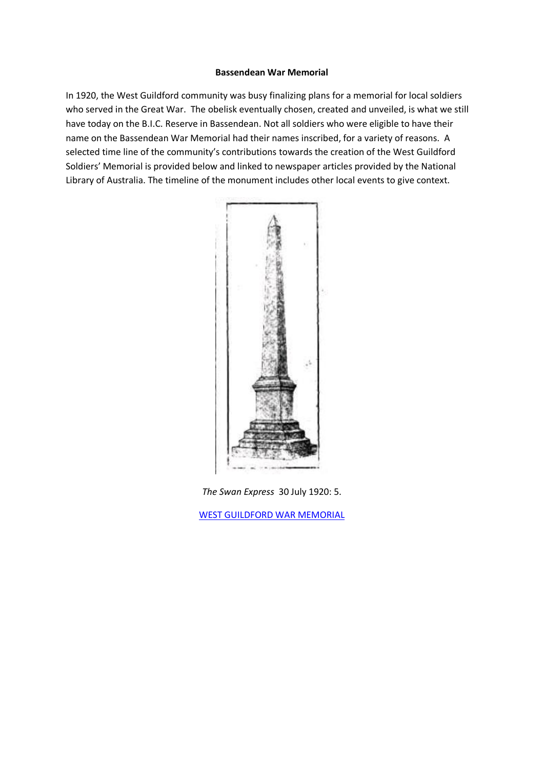#### **Bassendean War Memorial**

In 1920, the West Guildford community was busy finalizing plans for a memorial for local soldiers who served in the Great War. The obelisk eventually chosen, created and unveiled, is what we still have today on the B.I.C. Reserve in Bassendean. Not all soldiers who were eligible to have their name on the Bassendean War Memorial had their names inscribed, for a variety of reasons. A selected time line of the community's contributions towards the creation of the West Guildford Soldiers' Memorial is provided below and linked to newspaper articles provided by the National Library of Australia. The timeline of the monument includes other local events to give context.



*The Swan Express* 30 July 1920: 5.

[WEST GUILDFORD WAR MEMORIAL](https://trove.nla.gov.au/newspaper/article/207328313?searchTerm=&searchLimits=l-publictag=Bassendean+Pictures+of+Places|||dateFrom=1920-07-30|||dateTo=1920-07-30)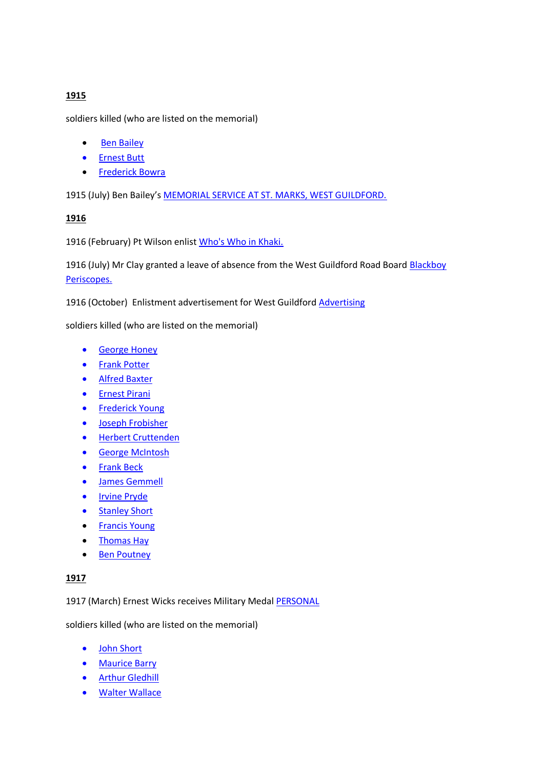# **1915**

soldiers killed (who are listed on the memorial)

- Ben Bailey
- [Ernest Butt](https://discoveringanzacs.naa.gov.au/browse/person/108466)
- **•** [Frederick Bowra](https://discoveringanzacs.naa.gov.au/browse/person/96497)

1915 (July) Ben Bailey's [MEMORIAL SERVICE AT ST. MARKS, WEST GUILDFORD.](https://trove.nla.gov.au/newspaper/article/204769603?)

## **1916**

1916 (February) Pt Wilson enlist [Who's Who in Khaki.](https://trove.nla.gov.au/newspaper/article/165447422?)

1916 (July) Mr Clay granted a leave of absence from the West Guildford Road Board Blackboy [Periscopes.](https://trove.nla.gov.au/newspaper/article/165448153?)

1916 (October) Enlistment advertisement for West Guildford [Advertising](https://trove.nla.gov.au/newspaper/article/209374522?)

soldiers killed (who are listed on the memorial)

- **•** [George Honey](https://discoveringanzacs.naa.gov.au/browse/person/216574)
- [Frank Potter](https://discoveringanzacs.naa.gov.au/browse/person/279725)
- [Alfred Baxter](https://discoveringanzacs.naa.gov.au/browse/person/83707)
- **•** [Ernest Pirani](https://discoveringanzacs.naa.gov.au/browse/person/280600)
- [Frederick Young](https://discoveringanzacs.naa.gov.au/browse/person/25482)
- **•** [Joseph Frobisher](https://discoveringanzacs.naa.gov.au/browse/person/174291)
- [Herbert Cruttenden](https://discoveringanzacs.naa.gov.au/browse/person/142093)
- [George McIntosh](https://discoveringanzacs.naa.gov.au/browse/person/40135)
- **•** [Frank Beck](https://discoveringanzacs.naa.gov.au/browse/person/85094)
- **.** [James Gemmell](https://discoveringanzacs.naa.gov.au/browse/person/176057)
- [Irvine Pryde](https://discoveringanzacs.naa.gov.au/browse/person/284704)
- [Stanley Short](https://discoveringanzacs.naa.gov.au/browse/person/316421)
- [Francis Young](https://discoveringanzacs.naa.gov.au/browse/person/25415)
- [Thomas Hay](https://discoveringanzacs.naa.gov.au/browse/person/198873)
- [Ben Poutney](https://discoveringanzacs.naa.gov.au/browse/person/279777)

## **1917**

1917 (March) Ernest Wicks receives Military Medal [PERSONAL](https://trove.nla.gov.au/newspaper/article/209376013?)

soldiers killed (who are listed on the memorial)

- [John Short](https://discoveringanzacs.naa.gov.au/browse/person/316382)
- [Maurice Barry](https://discoveringanzacs.naa.gov.au/browse/person/81887)
- **•** [Arthur Gledhill](https://discoveringanzacs.naa.gov.au/browse/person/204691)
- [Walter Wallace](https://discoveringanzacs.naa.gov.au/browse/person/352375)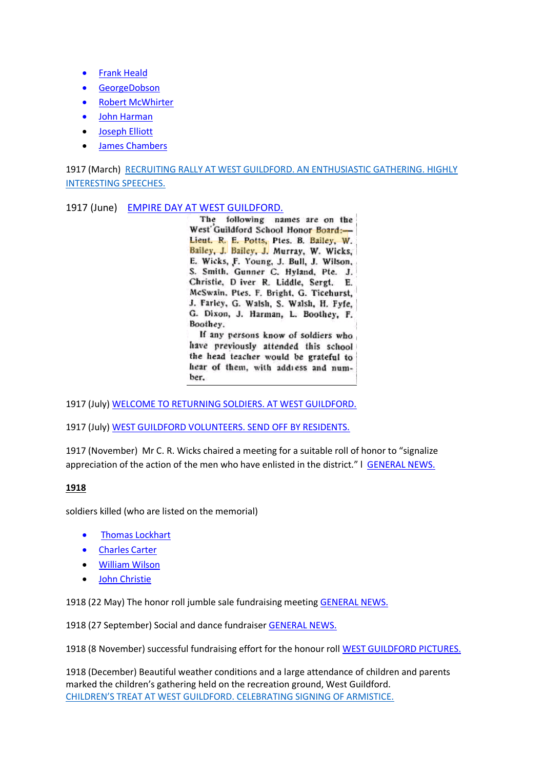- [Frank Heald](https://discoveringanzacs.naa.gov.au/browse/person/196797)
- **•** [GeorgeDobson](https://discoveringanzacs.naa.gov.au/browse/person/148906)
- [Robert McWhirter](https://discoveringanzacs.naa.gov.au/browse/person/46648)
- [John Harman](https://discoveringanzacs.naa.gov.au/browse/person/202188)
- [Joseph Elliott](https://discoveringanzacs.naa.gov.au/browse/person/159755)
- [James Chambers](https://discoveringanzacs.naa.gov.au/browse/person/116620)

1917 (March) RECRUITING RALLY AT WEST GUILDFORD. AN ENTHUSIASTIC GATHERING. HIGHLY [INTERESTING SPEECHES.](https://trove.nla.gov.au/newspaper/article/209376054?)

### 1917 (June) [EMPIRE DAY AT WEST GUILDFORD.](https://trove.nla.gov.au/newspaper/article/209376702?searchTerm=%22west%20guildford%20school%20honor%20board%22&searchLimits=exactPhrase=west+guildford+school+honor+board|||anyWords|||notWords|||requestHandler|||dateFrom|||dateTo|||sortby)

The following names are on the West Guildford School Honor Board:-Lieut. R. E. Potts, Ptes. B. Bailey, W. Bailey, J. Bailey, J. Murray, W. Wicks, E. Wicks, F. Young, J. Bull, J. Wilson, S. Smith. Gunner C. Hyland, Pte. J. Christie, D iver R. Liddle, Sergt. E. McSwain, Ptes. F. Bright, G. Ticehurst, J. Farley, G. Walsh, S. Walsh, H. Fyfe, G. Dixon, J. Harman, L. Boothey, F. Boothey.

If any persons know of soldiers who have previously attended this school the head teacher would be grateful to hear of them, with address and number.

1917 (July[\) WELCOME TO RETURNING SOLDIERS. AT WEST GUILDFORD.](https://trove.nla.gov.au/newspaper/article/209376977?)

1917 (July[\) WEST GUILDFORD VOLUNTEERS. SEND OFF BY RESIDENTS.](https://trove.nla.gov.au/newspaper/article/209376992?)

1917 (November) Mr C. R. Wicks chaired a meeting for a suitable roll of honor to "signalize appreciation of the action of the men who have enlisted in the district." I [GENERAL NEWS.](https://trove.nla.gov.au/newspaper/article/209378100?)

## **1918**

soldiers killed (who are listed on the memorial)

- **•** [Thomas Lockhart](https://discoveringanzacs.naa.gov.au/browse/person/341234)
- [Charles Carter](https://discoveringanzacs.naa.gov.au/browse/person/114123)
- [William Wilson](https://discoveringanzacs.naa.gov.au/browse/person/56079)
- [John Christie](https://discoveringanzacs.naa.gov.au/browse/person/119406)

1918 (22 May) The honor roll jumble sale fundraising meetin[g GENERAL NEWS.](https://trove.nla.gov.au/newspaper/article/207324071?searchTerm=%22west%20guildford%20honor%20roll%22&searchLimits=exactPhrase=west+guildford+honor+roll|||anyWords|||notWords|||requestHandler|||dateFrom|||dateTo|||sortby)

1918 (27 September) Social and dance fundraiser [GENERAL NEWS.](https://trove.nla.gov.au/newspaper/article/207322079?searchTerm=%22west%20guildford%20honor%20roll%22&searchLimits=exactPhrase=west+guildford+honor+roll|||anyWords|||notWords|||requestHandler|||dateFrom|||dateTo|||sortby)

1918 (8 November) successful fundraising effort for the honour roll [WEST GUILDFORD PICTURES.](https://trove.nla.gov.au/newspaper/article/207322439?searchTerm=%22west%20guildford%20honor%20roll%22&searchLimits=exactPhrase=west+guildford+honor+roll|||anyWords|||notWords|||requestHandler|||dateFrom|||dateTo|||sortby)

1918 (December) Beautiful weather conditions and a large attendance of children and parents marked the children's gathering held on the recreation ground, West Guildford. [CHILDREN'S TREAT AT WEST GUILDFORD. CELEBRATING SIGNING OF ARMISTICE.](https://trove.nla.gov.au/newspaper/article/207322827?)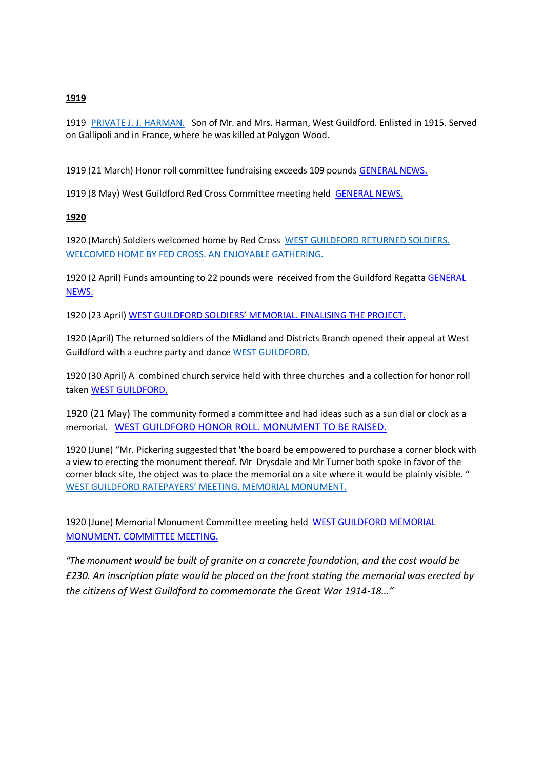#### **1919**

1919 [PRIVATE J. J. HARMAN.](https://trove.nla.gov.au/newspaper/article/58005573?) Son of Mr. and Mrs. Harman, West Guildford. Enlisted in 1915. Served on Gallipoli and in France, where he was killed at Polygon Wood.

1919 (21 March) Honor roll committee fundraising exceeds 109 pounds [GENERAL NEWS.](https://trove.nla.gov.au/newspaper/article/207323713?searchTerm=%22west%20guildford%20honor%20roll%22&searchLimits=exactPhrase=west+guildford+honor+roll|||anyWords|||notWords|||requestHandler|||dateFrom|||dateTo|||sortby)

1919 (8 May) West Guildford Red Cross Committee meeting held [GENERAL NEWS.](https://trove.nla.gov.au/newspaper/article/207324071?searchTerm=%22west%20guildford%20honor%20roll%22&searchLimits=exactPhrase=west+guildford+honor+roll|||anyWords|||notWords|||requestHandler|||dateFrom|||dateTo|||sortby)

### **1920**

1920 (March) Soldiers welcomed home by Red Cross [WEST GUILDFORD RETURNED SOLDIERS.](https://trove.nla.gov.au/newspaper/article/207327020?)  [WELCOMED HOME BY FED CROSS. AN ENJOYABLE GATHERING.](https://trove.nla.gov.au/newspaper/article/207327020?)

1920 (2 April) Funds amounting to 22 pounds were received from the Guildford Regatta GENERAL [NEWS.](https://trove.nla.gov.au/newspaper/article/207327190?searchTerm=%22west%20guildford%20honor%20roll%22&searchLimits=exactPhrase=west+guildford+honor+roll|||anyWords|||notWords|||requestHandler|||dateFrom|||dateTo|||sortby)

1920 (23 April) [WEST GUILDFORD SOLDIERS' MEMORIAL. FINALISING THE PROJECT.](https://trove.nla.gov.au/newspaper/article/207327374?searchTerm=%22west%20guildford%20honor%20roll%22&searchLimits=exactPhrase=west+guildford+honor+roll|||anyWords|||notWords|||requestHandler|||dateFrom|||dateTo|||sortby)

1920 (April) The returned soldiers of the Midland and Districts Branch opened their appeal at West Guildford with a euchre party and dance [WEST GUILDFORD.](https://trove.nla.gov.au/newspaper/article/207323852?)

1920 (30 April) A combined church service held with three churches and a collection for honor roll take[n WEST GUILDFORD.](https://trove.nla.gov.au/newspaper/article/207327482?searchTerm=%22west%20guildford%20honor%20roll%22&searchLimits=exactPhrase=west+guildford+honor+roll|||anyWords|||notWords|||requestHandler|||dateFrom|||dateTo|||sortby)

1920 (21 May) The community formed a committee and had ideas such as a sun dial or clock as a memorial. [WEST GUILDFORD HONOR ROLL. MONUMENT TO BE RAISED.](https://trove.nla.gov.au/newspaper/article/207327670?searchTerm=%22west%20guildford%20honor%20roll%22&searchLimits=exactPhrase=west+guildford+honor+roll|||anyWords|||notWords|||requestHandler|||dateFrom|||dateTo|||sortby)

1920 (June) "Mr. Pickering suggested that 'the board be empowered to purchase a corner block with a view to erecting the monument thereof. Mr Drysdale and Mr Turner both spoke in favor of the corner block site, the object was to place the memorial on a site where it would be plainly visible. " [WEST GUILDFORD RATEPAYERS' MEETING. MEMORIAL MONUMENT.](https://trove.nla.gov.au/newspaper/article/207327905?)

1920 (June) Memorial Monument Committee meeting held [WEST GUILDFORD MEMORIAL](https://trove.nla.gov.au/newspaper/article/207328001?)  [MONUMENT. COMMITTEE MEETING.](https://trove.nla.gov.au/newspaper/article/207328001?)

*"The monument would be built of granite on a concrete foundation, and the cost would be £230. An inscription plate would be placed on the front stating the memorial was erected by the citizens of West Guildford to commemorate the Great War 1914-18…"*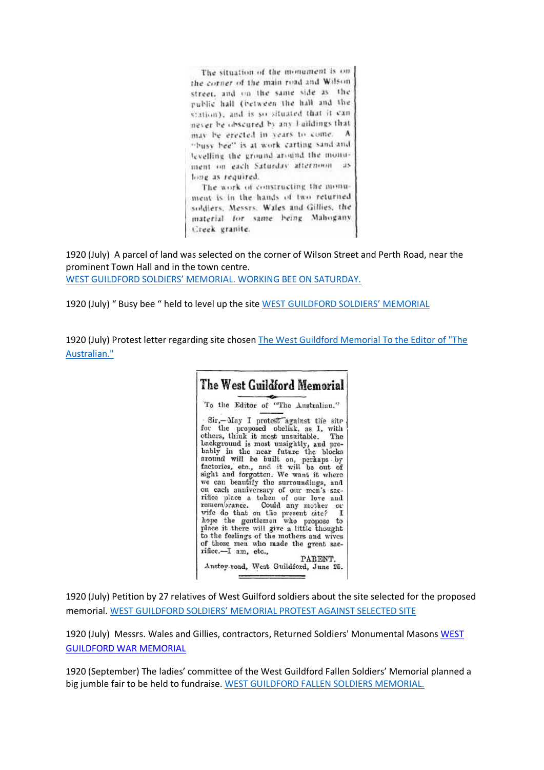The situation of the monument is onthe corner of the main road and Wilson. street, and on the same side as the public hall (between the hall and the station), and is so situated that it can never be obscured by any haildings that may be erected in years to come.  $\Lambda$ "busy bee" is at work carting sand and levelling the ground around the monument on each Saturday afternoon as long as required.

The work of constructing the monument is in the hands of two returned soldiers, Messrs. Wales and Gillies, the material for same being Mahogany Creek granite.

1920 (July) A parcel of land was selected on the corner of Wilson Street and Perth Road, near the prominent Town Hall and in the town centre. [WEST GUILDFORD SOLDIERS' MEMORIAL. WORKING BEE ON SATURDAY.](https://trove.nla.gov.au/newspaper/article/207328114?)

1920 (July) " Busy bee " held to level up the site [WEST GUILDFORD SOLDIERS' MEMORIAL](https://trove.nla.gov.au/newspaper/article/207328207?)

1920 (July) Protest letter regarding site chosen [The West Guildford Memorial To the Editor of "The](https://trove.nla.gov.au/newspaper/article/210243874?)  [Australian."](https://trove.nla.gov.au/newspaper/article/210243874?)



1920 (July) Petition by 27 relatives of West Guilford soldiers about the site selected for the proposed memorial. [WEST GUILDFORD SOLDIERS' MEMORIAL PROTEST AGAINST SELECTED SITE](https://trove.nla.gov.au/newspaper/article/207328046?)

1920 (July) Messrs. Wales and Gillies, contractors, Returned Soldiers' Monumental Masons WEST [GUILDFORD WAR MEMORIAL](https://trove.nla.gov.au/newspaper/article/207328313?searchTerm=%22wales%20and%20gillies%22&searchLimits=exactPhrase=wales+and+gillies|||anyWords|||notWords|||requestHandler|||dateFrom|||dateTo|||sortby)

1920 (September) The ladies' committee of the West Guildford Fallen Soldiers' Memorial planned a big jumble fair to be held to fundraise. [WEST GUILDFORD FALLEN SOLDIERS MEMORIAL.](https://trove.nla.gov.au/newspaper/article/207328606?)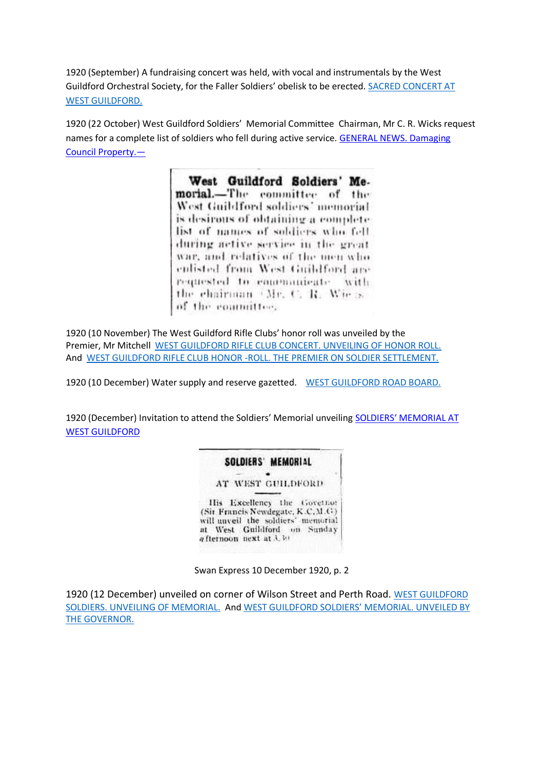1920 (September) A fundraising concert was held, with vocal and instrumentals by the West Guildford Orchestral Society, for the Faller Soldiers' obelisk to be erected. [SACRED CONCERT AT](https://trove.nla.gov.au/newspaper/article/207328661?)  [WEST GUILDFORD.](https://trove.nla.gov.au/newspaper/article/207328661?)

1920 (22 October) West Guildford Soldiers' Memorial Committee Chairman, Mr C. R. Wicks request names for a complete list of soldiers who fell during active service. [GENERAL NEWS. Damaging](https://trove.nla.gov.au/newspaper/article/207329027?)  [Council Property.](https://trove.nla.gov.au/newspaper/article/207329027?)—

> West Guildford Soldiers' Memorial.-The committee of the West Guildford soldiers' memorial is desirous of obtaining a complete list of names of soldiers who fell during active service in the great. war, and relatives of the men who enlisted from West Guildford are requested to communicate with the chairman (Mr. C. R. Wie is) of the committee.

1920 (10 November) The West Guildford Rifle Clubs' honor roll was unveiled by the Premier, Mr Mitchell [WEST GUILDFORD RIFLE CLUB CONCERT. UNVEILING OF HONOR ROLL.](https://trove.nla.gov.au/newspaper/article/207329241?) And [WEST GUILDFORD RIFLE CLUB HONOR -ROLL. THE PREMIER ON SOLDIER SETTLEMENT.](https://trove.nla.gov.au/newspaper/article/210694401?)

1920 (10 December) Water supply and reserve gazetted. [WEST GUILDFORD ROAD BOARD.](https://trove.nla.gov.au/newspaper/article/207329499?) 

1920 (December) Invitation to attend the Soldiers' Memorial unveiling SOLDIE[RS' MEMORIAL AT](https://trove.nla.gov.au/newspaper/article/207329457?)  [WEST GUILDFORD](https://trove.nla.gov.au/newspaper/article/207329457?)

## SOLDIERS' MEMORIAL

AT WEST GUILDFORD

His Excellency the Governor (Sir Francis Newdegate, K.C.M.G) will unveil the soldiers' memorial at West Guildford on Sunday a fternoon next at 3.30

Swan Express 10 December 1920, p. 2

1920 (12 December) unveiled on corner of Wilson Street and Perth Road. [WEST GUILDFORD](https://trove.nla.gov.au/newspaper/article/27952089?)  [SOLDIERS. UNVEILING](https://trove.nla.gov.au/newspaper/article/27952089?) OF MEMORIAL. And [WEST GUILDFORD SOLDIERS' MEMORIAL. UNVEILED BY](https://trove.nla.gov.au/newspaper/article/207329547?)  [THE GOVERNOR.](https://trove.nla.gov.au/newspaper/article/207329547?)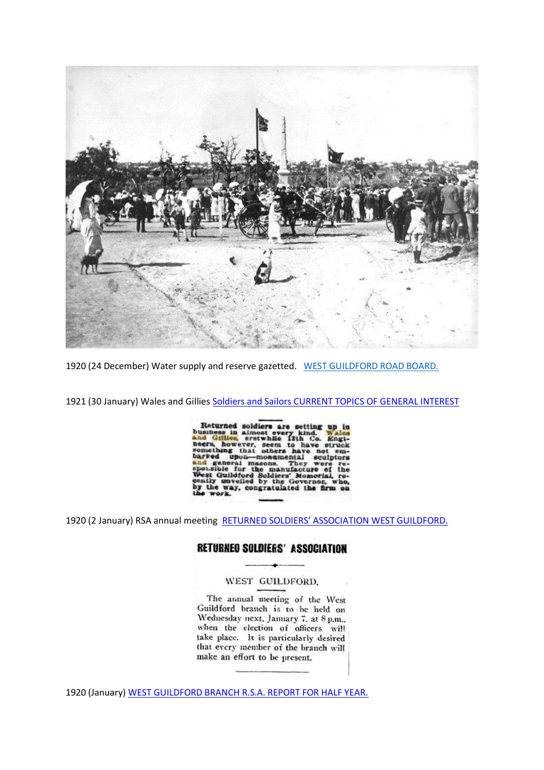

1920 (24 December) Water supply and reserve gazetted. [WEST GUILDFORD ROAD BOARD.](https://trove.nla.gov.au/newspaper/article/207329578?)

1921 (30 January) Wales and Gillie[s Soldiers and Sailors CURRENT TOPICS OF GENERAL INTEREST](https://trove.nla.gov.au/newspaper/article/58040921?)

Returned soldiers are setting up in<br>business in almost every kind. Wales<br>and Gillien, erstwhile 11th Co. Engi-<br>neers, however, seem to have struck<br>semething that others have not em-<br>barred upon-monomental sculptors<br>and gen eneral maso<br>est Guildford Solvest Guildford Sol<br>nily unveiled by oldiers' Memoria<br>y the Governor. the way, congratulated the firm

1920 (2 January) RSA annual meeting [RETURNED SOLDIERS' ASSOCIATION WEST GUILDFORD.](https://trove.nla.gov.au/newspaper/article/207326388?)

## **RETURNEO SOLDIERS' ASSOCIATION**

#### WEST GUILDFORD.

The annual meeting of the West Guildford branch is to be held on Wednesday next, January 7, at 8 p.m., when the election of officers will<br>take place. It is particularly desired that every member of the branch will make an effort to be present.

1920 (January) [WEST GUILDFORD BRANCH R.S.A. REPORT FOR HALF YEAR.](https://trove.nla.gov.au/newspaper/article/207326524?)